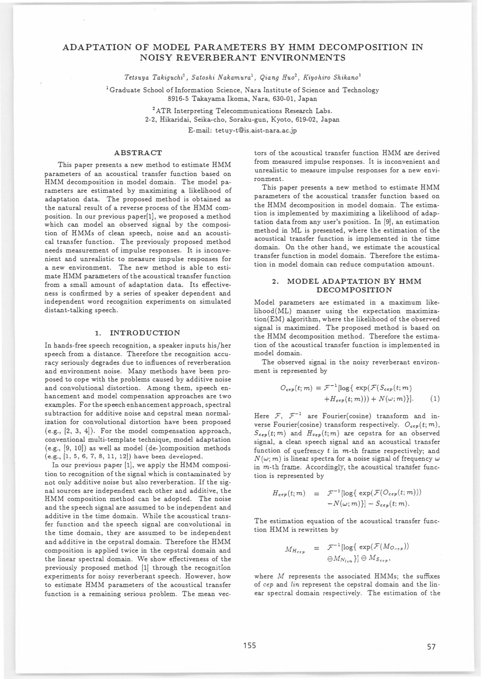# ADAPTATION OF MODEL PARAMETERS BY HMM DECOMPOSITION IN NOISY REVERBERANT ENVIRONMENTS

Tetsuya Takiguchi<sup>1</sup>, Satoshi Nakamura<sup>1</sup>, Qiang Huo<sup>2</sup>, Kiyohiro Shikano<sup>1</sup>

<sup>1</sup> Graduate School of Information Science, Nara Institute of Science and Technology 8916-5 Takayama Ikoma, Nara, 630・01, Japan

> <sup>2</sup> ATR Interpreting Telecommunications Research Labs. 2・2, Hikaridai, Seika-cho, Soraku-gun, Kyoto, 619・02, Japan E-mail: tetuy-t@is.aist-nara.ac.jp

### ABSTRACT

This paper presents a new method to estimate HMM parameters of an acoustical transfer function based on HMM decomposition in model domain. The model parameters are estimated by maximizing a likelihood of adaptation data. The proposed method is obtained as the natural result of a reverse process of the HMM composition. 1n our previous paper[1], we proposed a method which can model an observed signal by the composition of HMMs of clean speech, noise and an acoustical transfer function. The previously proposed method needs measurement of impulse responses. It is inconvenient and unrealistic to measure impulse responses for a new environment. The new method is able to estimate HMM parameters of the acoustical transfer function from a small amount of adaptation data. Its effectiveness is confirmed by a series of speaker dependent and independent word recognition experiments on simulated distant-talking speech.

#### 1. INTRODUCTION

1n hands-free speech recognition, a speaker inputs his/her speech from a distance. Therefore the recognition accuracy seriously degrades due to influences of reverberation and environment noise. Many methods have been proposed to cope with the problems caused by additive noise and convolutional distortion. Among them, speech enhancement and model compensation approaches are two examples. For the speech enhancement approach, spectral subtraction for additive noise and cepstral mean normalization for convolutional distortion have been proposed (e.g., [2, 3, 4]). For the model compensation approach, conventional multi-template technique, model adaptation (e.g., [9, 10]) as well as model (de-)composition methods (e.g., [1, 5, 6, 7, 8, 11, 12]) have been developed.

In our previous paper [1], we apply the HMM composition to recognition of the signal which is contaminated by not only additive noise but also reverberation. If the signal sources are independent each other and additive, the HMM composition method can be adopted. The noise and the speech signal are assumed to be independent and additive in the time domain. While the acoustical transfer function and the speech signal are convolutional in the time domain, they are assumed to be independent and additive in the cepstral domain. Therefore the HMM composition is applied twice in the cepstral domain and the linear spectral domain. We show effectiveness of the previously proposed method [1] through the recognition experiments for noisy reverberant speech. However, how to estimate HMM parameters of the acoustical transfer function is a remaining serious problem. The mean vec-

tors of the acoustical transfer function HMM are derived from measured impulse responses. It is inconvenient and unrealistic to measure impulse responses for a new environment.

This paper presents a new method to estimate HMM parameters of the acoustical transfer function based on the HMM decomposition in model domain. The estimation is implemented by maximizing a likelihood of adaptation data from any user's position. In [9], an estimation method in ML is presented, where the estimation of the acoustical transfer function is implemented in the time domain. On the other hand, we estimate the acoustical transfer function in model domain. Therefore the estimation in model domain can reduce computation amount.

# 2. MODEL ADAPTATION BY HMM DECOMPOSITION

Model parameters are estimated in a maximum likelihood(ML) manner using the expectation maximization(EM) algorithm, where the likelihood of the observed signal is maximized. The proposed method is based on the HMM decomposition method. Therefore the estimation of the acoustical transfer function is implemented in model domain.

The observed signal in the noisy reverberant environment is represented by

$$
O_{cep}(t; m) = \mathcal{F}^{-1} [\log \{ \exp(\mathcal{F}(S_{cep}(t; m)) + H_{cep}(t; m)) \} + N(\omega; m) \}].
$$
 (1)

Here  $\mathcal{F}, \mathcal{F}^{-1}$  are Fourier(cosine) transform and inverse Fourier(cosine) transform respectively.  $O_{\epsilon ep}(t; m)$ ,  $S_{cep}(t; m)$  and  $H_{cep}(t; m)$  are cepstra for an observed signal, a clean speech signal and an acoustical transfer function of quefrency  $t$  in  $m$ -th frame respectively; and  $N(\omega; m)$  is linear spectra for a noise signal of frequency  $\omega$ in  $m$ -th frame. Accordingly, the acoustical transfer function is represented by

$$
H_{\epsilon\epsilon p}(t;m) = \mathcal{F}^{-1}[\log\{\exp(\mathcal{F}(O_{\epsilon\epsilon p}(t;m))) - N(\omega;m)\} - S_{\epsilon\epsilon p}(t;m).
$$

The estimation equation of the acoustical transfer function HMM is rewritten by

$$
M_{H_{cep}} = \mathcal{F}^{-1}[\log\{\exp(\mathcal{F}(M_{O_{cep}}))\}
$$

$$
\ominus M_{N_{lin}}\}] \ominus M_{S_{cep}},
$$

where  $M$  represents the associated HMMs; the suffixes of cep and lin represent the cepstral domain and the linear spectral domain respectively. The estimation of the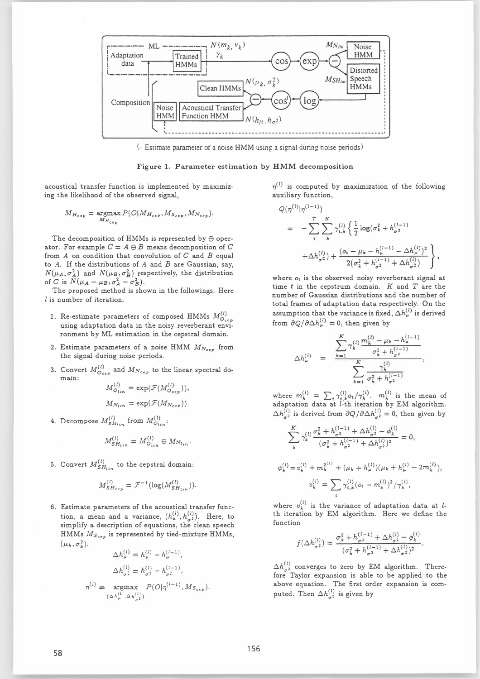

(Estimate parameter of a noise HMM using a signal during noise periods)

# Figure 1. Parameter estimation by HMM decomposition

acoustical transfer function is implemented by maximizing the likelihood of the observed signal,

$$
M_{H_{cep}} = \underset{M_{H_{cep}}}{\text{argmax}} P(O|M_{H_{cep}}, M_{S_{cep}}, M_{N_{cep}}).
$$

The decomposition of HMMs is represented by  $\ominus$  operator. For example  $C = A \ominus B$  means decomposition of C from  $A$  on condition that convolution of  $C$  and  $B$  equal to  $A$ . If the distributions of  $A$  and  $B$  are Gaussian, say,  $N(\mu_A, \sigma_A^2)$  and  $N(\mu_B, \sigma_B^2)$  respectively, the distribution of C is  $\hat{N}(\mu_A - \mu_B, \sigma_A^2 - \sigma_B^2)$ .

The proposed method is shown in the followings. Here l is number of iteration.

- 1. Re-estimate parameters of composed HMMs  $M_{O_{c,ex}}^{(l)}$ using adaptation data in the noisy reverberant environment by ML estimation in the cepstral domain.
- 2. Estimate parameters of a noise HMM  $M_{N_{cep}}$  from the signal during noise periods.
- 3. Convert  $M_{O_{cep}}^{(l)}$  and  $M_{N_{cep}}$  to the linear spectral domain:

$$
M_{O_{lin}}^{(i)} = \exp(\mathcal{F}(M_{O_{cep}}^{(i)})),
$$
  
\n
$$
M_{N_{lin}} = \exp(\mathcal{F}(M_{N_{cep}})).
$$

4. Decompose  $M_{SH_{lin}}^{(l)}$  from  $M_{O_{lin}}^{(l)}$ :

$$
M_{SH_{lin}}^{(l)} = M_{O_{lin}}^{(l)} \oplus M_{N_{lin}}.
$$

5. Convert  $M_{SH_{lin}}^{(l)}$  to the cepstral domain:

$$
M_{SH_{cep}}^{(l)} = \mathcal{F}^{-1}(\log(M_{SH_{lin}}^{(l)})).
$$

6. Estimate parameters of the acoustical transfer function, a mean and a variance,  $(h_{\mu}^{(l)}, h_{\sigma^2}^{(l)})$ . Here, to simplify a description of equations, the clean speech HMMs  $M_{S_{cep}}$  is represented by tied-mixture HMMs,  $(\mu_k, \sigma_k^2)$ .

$$
\Delta h_{\mu}^{(l)} = h_{\mu}^{(l)} - h_{\mu}^{(l-1)},
$$

$$
\Delta h_{\sigma^2}^{(l)} = h_{\sigma^2}^{(l)} - h_{\sigma^2}^{(l-1)},
$$

$$
\eta^{(l)} = \underset{(\Delta h_{\mu}^{(l)}, \Delta h_{\sigma^2}^{(l)})}{\arg\max} P(O|\eta^{(l-1)}, M_{S_{c\epsilon}})
$$

 $\eta^{(l)}$  is computed by maximization of the following auxiliary function,

$$
Q(\eta^{(l)}|\eta^{(l-1)})
$$
\n
$$
= -\sum_{i}^{T} \sum_{k}^{K} \gamma_{i,k}^{(l)} \left\{ \frac{1}{2} \log(\sigma_k^2 + h_{\sigma^2}^{(l-1)} + \Delta h_{\sigma^2}^{(l)}) + \frac{(o_t - \mu_k - h_{\mu}^{(l-1)} - \Delta h_{\mu}^{(l)})^2}{2(\sigma_k^2 + h_{\sigma^2}^{(l-1)} + \Delta h_{\sigma^2}^{(l)})} \right\},
$$

where  $o_t$  is the observed noisy reverberant signal at time  $t$  in the cepstrum domain.  $K$  and  $T$  are the number of Gaussian distributions and the number of total frames of adaptation data respectively. On the assumption that the variance is fixed,  $\Delta h_\mu^{(l)}$  is derived from  $\partial Q/\partial \Delta h_{\mu}^{(l)} = 0$ , then given by

$$
\Delta h_{\mu}^{(l)} = \frac{\displaystyle\sum_{k=1}^{K}\gamma_{k}^{(l)}\frac{m_{k}^{(l)}-\mu_{k}-h_{\mu}^{(l-1)}}{\sigma_{k}^{2}+h_{\sigma^{2}}^{(l-1)}}}{\displaystyle\sum_{k=1}^{K}\frac{\gamma_{k}^{(l)}}{\sigma_{k}^{2}+h_{\sigma^{2}}^{(l-1)}}},
$$

where  $m_k^{(l)} = \sum_i \gamma_{t,k}^{(l)} o_t / \gamma_k^{(l)}$ ,  $m_k^{(l)}$  is the mean of adaptation data at *l*-th iteration by EM algorithm.  $\Delta h_{\sigma^2}^{(l)}$  is derived from  $\partial Q/\partial \Delta h_{\sigma^2}^{(l)} = 0$ , then given by

$$
\sum_{k}^{K} \gamma_{k}^{(l)} \frac{\sigma_{k}^{2} + h_{\sigma^{2}}^{(l-1)} + \Delta h_{\sigma^{2}}^{(l)} - \phi_{k}^{(l)}}{(\sigma_{k}^{2} + h_{\sigma^{2}}^{(l-1)} + \Delta h_{\sigma^{2}}^{(l)})^{2}} = 0,
$$
\n
$$
\phi_{k}^{(l)} = v_{k}^{(l)} + m_{k}^{2^{(l)}} + (\mu_{k} + h_{\mu}^{(l)})(\mu_{k} + h_{\mu}^{(l)} - 2m_{k}^{(l)}),
$$
\n
$$
v_{k}^{(l)} = \sum_{k} \gamma_{t,k}^{(l)} (o_{t} - m_{k}^{(l)})^{2} / \gamma_{k}^{(l)},
$$

where  $v_k^{(l)}$  is the variance of adaptation data at *l*th iteration by EM algorithm. Here we define the function

$$
f(\Delta h_{\sigma^2}^{(l)}) = \frac{\sigma_k^2 + h_{\sigma^2}^{(l-1)} + \Delta h_{\sigma^2}^{(l)} - \phi_k^{(l)}}{(\sigma_k^2 + h_{\sigma^2}^{(l-1)} + \Delta h_{\sigma^2}^{(l)})^2}.
$$

 $\Delta h_{\sigma^2}^{(l)}$  converges to zero by EM algorithm. Therefore Taylor expansion is able to be applied to the above equation. The first order expansion is computed. Then  $\Delta h_{\sigma^2}^{(l)}$  is given by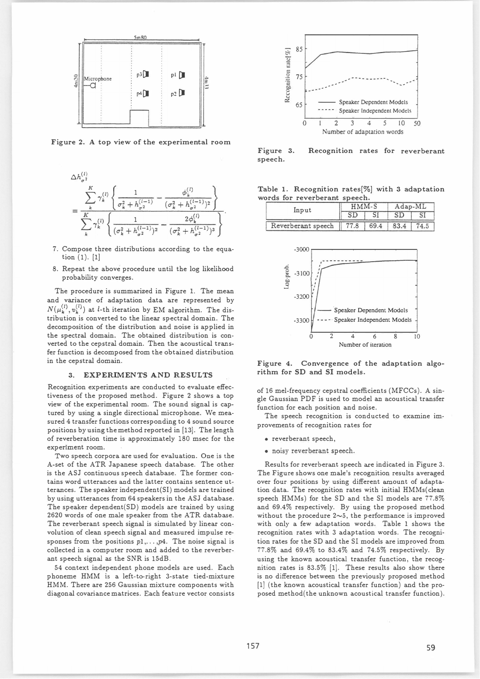

Figure 2. A top view of the experimental room



- 7. Compose three distributions according to the equation  $(1)$ .  $[1]$
- 8. Repeat the above procedure until the log likelihood probability converges.

The procedure is summarized in Figure 1. The mean and variance of adaptation data are represented by  $N(\mu_k^{(l)}, v_k^{(l)})$  at *l*-th iteration by EM algorithm. The distribution is converted to the linear spectral domain. The decomposition of the distribution and noise is applied in the spectral domain. The obtained distribution is converted to the cepstral domain. Then the acoustical transfer function is decomposed from the obtained distribution in the cepstral domain.

### 3. EXPERIMENTS AND RESULTS

Recognition experiments are conducted to evaluate effectiveness of the proposed method. Figure 2 shows a top view of the experimental room. The sound signal is captured by using a single directional microphone. We measured 4 transfer functions corresponding to 4 sound source positions by using the method reported in [13]. The length of reverberation time is approximately 180 msec for the experiment room.

Two speech corpora are used for evaluation. One is the A-set of the ATR Japanese speech database. The other is the ASJ continuous speech database. The former contains word utterances and the latter contains sentence utterances. The speaker independent(SI) models are trained by using utterances from 64 speakers in the ASJ database. The speaker dependent(SD) models are trained by using 2620 words of one male speaker from the ATR database. The reverberant speech signal is simulated by linear convolution of clean speech signal and measured impulse responses from the positions  $p1, \ldots, p4$ . The noise signal is collected in a computer room and added to the reverberant speech signal as the SNR is 15dB.

54 context independent phone models are used. Each phoneme HMM is a left-to-right 3-state tied-mixture HMM. There are 256 Gaussian mixture components with diagonal covariance matrices. Each feature vector consists



Figure 3. Recognition rates for reverberant speech.

|  | Table 1. Recognition rates[%] with 3 adaptation |  |  |
|--|-------------------------------------------------|--|--|
|  | words for reverberant speech.                   |  |  |

| Input              | HMM-S | Adap-ML |  |  |
|--------------------|-------|---------|--|--|
|                    |       |         |  |  |
| Reverberant speech |       |         |  |  |



Figure 4. Convergence of the adaptation algorithm for SD and SI models.

of 16 mel-frequency cepstral coefficients (MFCCs). A single Gaussian PDF is used to model an acoustical transfer function for each position and noise.

The speech recognition is conducted to examine improvements of recognition rates for

- reverberant speech,
- · noisy reverberant speech.

Results for reverberant speech are indicated in Figure 3. The Figure shows one male's recognition results averaged over four positions by using different amount of adaptation data. The recognition rates with initial HMMs(clean speech HMMs) for the SD and the SI models are 77.8% and 69.4% respectively. By using the proposed method without the procedure  $2\sim$ 5, the performance is improved with only a few adaptation words. Table 1 shows the recognition rates with 3 adaptation words. The recognition rates for the SD and the SI models are improved from 77.8% and 69.4% to 83.4% and 74.5% respectively. By using the known acoustical transfer function, the recognition rates is 83.5% [1]. These results also show there is no difference between the previously proposed method [1] (the known acoustical transfer function) and the proposed method(the unknown acoustical transfer function).